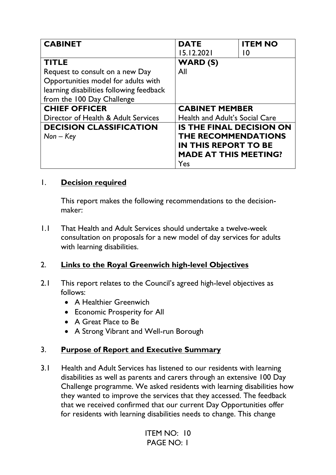| <b>CABINET</b>                           | <b>DATE</b>                           | <b>ITEM NO</b> |
|------------------------------------------|---------------------------------------|----------------|
|                                          | 15.12.2021                            | l O            |
| <b>TITLE</b>                             | <b>WARD (S)</b>                       |                |
| Request to consult on a new Day          | All                                   |                |
| Opportunities model for adults with      |                                       |                |
| learning disabilities following feedback |                                       |                |
| from the 100 Day Challenge               |                                       |                |
| <b>CHIEF OFFICER</b>                     | <b>CABINET MEMBER</b>                 |                |
| Director of Health & Adult Services      | <b>Health and Adult's Social Care</b> |                |
| <b>DECISION CLASSIFICATION</b>           | <b>IS THE FINAL DECISION ON</b>       |                |
| $Non - Key$                              | THE RECOMMENDATIONS                   |                |
|                                          | <b>IN THIS REPORT TO BE</b>           |                |
|                                          | <b>MADE AT THIS MEETING?</b>          |                |
|                                          | Yes                                   |                |

#### 1. **Decision required**

This report makes the following recommendations to the decisionmaker:

1.1 That Health and Adult Services should undertake a twelve-week consultation on proposals for a new model of day services for adults with learning disabilities.

# 2. **Links to the Royal Greenwich high-level Objectives**

- 2.1 This report relates to the Council's agreed high-level objectives as follows:
	- A Healthier Greenwich
	- Economic Prosperity for All
	- A Great Place to Be
	- A Strong Vibrant and Well-run Borough

# 3. **Purpose of Report and Executive Summary**

3.1 Health and Adult Services has listened to our residents with learning disabilities as well as parents and carers through an extensive 100 Day Challenge programme. We asked residents with learning disabilities how they wanted to improve the services that they accessed. The feedback that we received confirmed that our current Day Opportunities offer for residents with learning disabilities needs to change. This change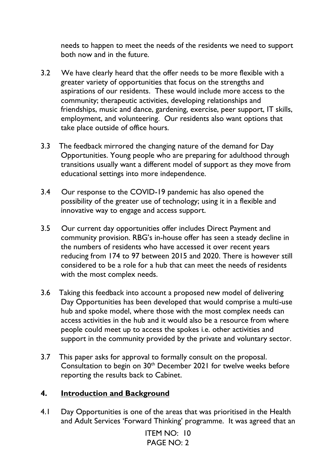needs to happen to meet the needs of the residents we need to support both now and in the future.

- 3.2 We have clearly heard that the offer needs to be more flexible with a greater variety of opportunities that focus on the strengths and aspirations of our residents. These would include more access to the community; therapeutic activities, developing relationships and friendships, music and dance, gardening, exercise, peer support, IT skills, employment, and volunteering. Our residents also want options that take place outside of office hours.
- 3.3 The feedback mirrored the changing nature of the demand for Day Opportunities. Young people who are preparing for adulthood through transitions usually want a different model of support as they move from educational settings into more independence.
- 3.4 Our response to the COVID-19 pandemic has also opened the possibility of the greater use of technology; using it in a flexible and innovative way to engage and access support.
- 3.5 Our current day opportunities offer includes Direct Payment and community provision. RBG's in-house offer has seen a steady decline in the numbers of residents who have accessed it over recent years reducing from 174 to 97 between 2015 and 2020. There is however still considered to be a role for a hub that can meet the needs of residents with the most complex needs.
- 3.6 Taking this feedback into account a proposed new model of delivering Day Opportunities has been developed that would comprise a multi-use hub and spoke model, where those with the most complex needs can access activities in the hub and it would also be a resource from where people could meet up to access the spokes i.e. other activities and support in the community provided by the private and voluntary sector.
- 3.7 This paper asks for approval to formally consult on the proposal. Consultation to begin on 30th December 2021 for twelve weeks before reporting the results back to Cabinet.

#### **4. Introduction and Background**

4.1 Day Opportunities is one of the areas that was prioritised in the Health and Adult Services 'Forward Thinking' programme. It was agreed that an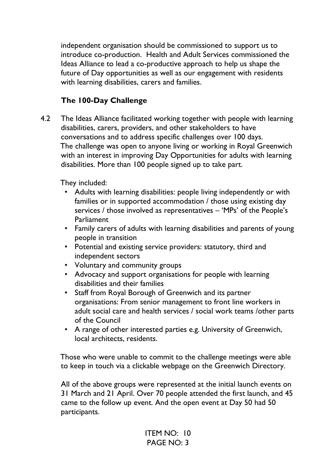independent organisation should be commissioned to support us to introduce co-production. Health and Adult Services commissioned the Ideas Alliance to lead a co-productive approach to help us shape the future of Day opportunities as well as our engagement with residents with learning disabilities, carers and families.

# **The 100-Day Challenge**

4.2 The Ideas Alliance facilitated working together with people with learning disabilities, carers, providers, and other stakeholders to have conversations and to address specific challenges over 100 days. The challenge was open to anyone living or working in Royal Greenwich with an interest in improving Day Opportunities for adults with learning disabilities. More than 100 people signed up to take part.

They included:

- Adults with learning disabilities: people living independently or with families or in supported accommodation / those using existing day services / those involved as representatives – 'MPs' of the People's Parliament
- Family carers of adults with learning disabilities and parents of young people in transition
- Potential and existing service providers: statutory, third and independent sectors
- Voluntary and community groups
- Advocacy and support organisations for people with learning disabilities and their families
- Staff from Royal Borough of Greenwich and its partner organisations: From senior management to front line workers in adult social care and health services / social work teams /other parts of the Council
- A range of other interested parties e.g. University of Greenwich, local architects, residents.

 Those who were unable to commit to the challenge meetings were able to keep in touch via a clickable webpage on the Greenwich Directory.

All of the above groups were represented at the initial launch events on 31 March and 21 April. Over 70 people attended the first launch, and 45 came to the follow up event. And the open event at Day 50 had 50 participants.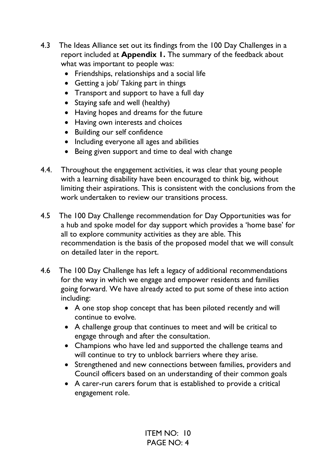- 4.3 The Ideas Alliance set out its findings from the 100 Day Challenges in a report included at **Appendix 1.** The summary of the feedback about what was important to people was:
	- Friendships, relationships and a social life
	- Getting a job/ Taking part in things
	- Transport and support to have a full day
	- Staying safe and well (healthy)
	- Having hopes and dreams for the future
	- Having own interests and choices
	- Building our self confidence
	- Including everyone all ages and abilities
	- Being given support and time to deal with change
- 4.4. Throughout the engagement activities, it was clear that young people with a learning disability have been encouraged to think big, without limiting their aspirations. This is consistent with the conclusions from the work undertaken to review our transitions process.
- 4.5 The 100 Day Challenge recommendation for Day Opportunities was for a hub and spoke model for day support which provides a 'home base' for all to explore community activities as they are able. This recommendation is the basis of the proposed model that we will consult on detailed later in the report.
- 4.6 The 100 Day Challenge has left a legacy of additional recommendations for the way in which we engage and empower residents and families going forward. We have already acted to put some of these into action including:
	- A one stop shop concept that has been piloted recently and will continue to evolve.
	- A challenge group that continues to meet and will be critical to engage through and after the consultation.
	- Champions who have led and supported the challenge teams and will continue to try to unblock barriers where they arise.
	- Strengthened and new connections between families, providers and Council officers based on an understanding of their common goals
	- A carer-run carers forum that is established to provide a critical engagement role.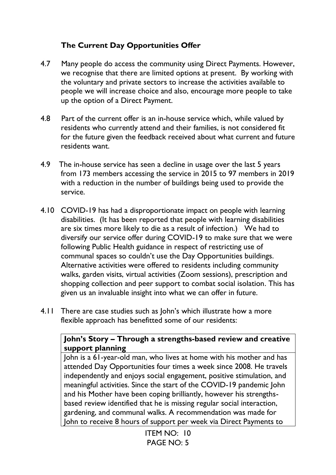# **The Current Day Opportunities Offer**

- 4.7 Many people do access the community using Direct Payments. However, we recognise that there are limited options at present. By working with the voluntary and private sectors to increase the activities available to people we will increase choice and also, encourage more people to take up the option of a Direct Payment.
- 4.8 Part of the current offer is an in-house service which, while valued by residents who currently attend and their families, is not considered fit for the future given the feedback received about what current and future residents want.
- 4.9 The in-house service has seen a decline in usage over the last 5 years from 173 members accessing the service in 2015 to 97 members in 2019 with a reduction in the number of buildings being used to provide the service.
- 4.10 COVID-19 has had a disproportionate impact on people with learning disabilities. (It has been reported that people with learning disabilities are six times more likely to die as a result of infection.) We had to diversify our service offer during COVID-19 to make sure that we were following Public Health guidance in respect of restricting use of communal spaces so couldn't use the Day Opportunities buildings. Alternative activities were offered to residents including community walks, garden visits, virtual activities (Zoom sessions), prescription and shopping collection and peer support to combat social isolation. This has given us an invaluable insight into what we can offer in future.
- 4.11 There are case studies such as John's which illustrate how a more flexible approach has benefitted some of our residents:

## **John's Story – Through a strengths-based review and creative support planning**

John is a 61-year-old man, who lives at home with his mother and has attended Day Opportunities four times a week since 2008. He travels independently and enjoys social engagement, positive stimulation, and meaningful activities. Since the start of the COVID-19 pandemic John and his Mother have been coping brilliantly, however his strengthsbased review identified that he is missing regular social interaction, gardening, and communal walks. A recommendation was made for John to receive 8 hours of support per week via Direct Payments to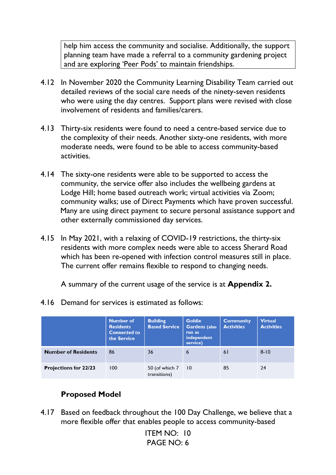help him access the community and socialise. Additionally, the support planning team have made a referral to a community gardening project and are exploring 'Peer Pods' to maintain friendships.

- 4.12 In November 2020 the Community Learning Disability Team carried out detailed reviews of the social care needs of the ninety-seven residents who were using the day centres. Support plans were revised with close involvement of residents and families/carers.
- 4.13 Thirty-six residents were found to need a centre-based service due to the complexity of their needs. Another sixty-one residents, with more moderate needs, were found to be able to access community-based activities.
- 4.14 The sixty-one residents were able to be supported to access the community, the service offer also includes the wellbeing gardens at Lodge Hill; home based outreach work; virtual activities via Zoom; community walks; use of Direct Payments which have proven successful. Many are using direct payment to secure personal assistance support and other externally commissioned day services.
- 4.15 In May 2021, with a relaxing of COVID-19 restrictions, the thirty-six residents with more complex needs were able to access Sherard Road which has been re-opened with infection control measures still in place. The current offer remains flexible to respond to changing needs.

A summary of the current usage of the service is at **Appendix 2.** 

4.16 Demand for services is estimated as follows:

|                              | <b>Number of</b><br><b>Residents</b><br><b>Connected to</b><br>the Service | <b>Building</b><br><b>Based Service</b> | <b>Goldie</b><br>Gardens (also<br>run as<br>independent<br>service) | <b>Community</b><br><b>Activities</b> | <b>Virtual</b><br><b>Activities</b> |
|------------------------------|----------------------------------------------------------------------------|-----------------------------------------|---------------------------------------------------------------------|---------------------------------------|-------------------------------------|
| <b>Number of Residents</b>   | 86                                                                         | 36                                      | 6                                                                   | 61                                    | $8 - 10$                            |
| <b>Projections for 22/23</b> | 100                                                                        | 50 (of which 7<br>transitions)          | $\vert 0 \vert$                                                     | 85                                    | 24                                  |

# **Proposed Model**

4.17 Based on feedback throughout the 100 Day Challenge, we believe that a more flexible offer that enables people to access community-based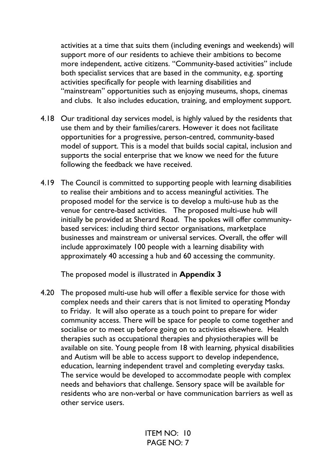activities at a time that suits them (including evenings and weekends) will support more of our residents to achieve their ambitions to become more independent, active citizens. "Community-based activities" include both specialist services that are based in the community, e.g. sporting activities specifically for people with learning disabilities and "mainstream" opportunities such as enjoying museums, shops, cinemas and clubs. It also includes education, training, and employment support.

- 4.18 Our traditional day services model, is highly valued by the residents that use them and by their families/carers. However it does not facilitate opportunities for a progressive, person-centred, community-based model of support. This is a model that builds social capital, inclusion and supports the social enterprise that we know we need for the future following the feedback we have received.
- 4.19 The Council is committed to supporting people with learning disabilities to realise their ambitions and to access meaningful activities. The proposed model for the service is to develop a multi-use hub as the venue for centre-based activities. The proposed multi-use hub will initially be provided at Sherard Road. The spokes will offer communitybased services: including third sector organisations, marketplace businesses and mainstream or universal services. Overall, the offer will include approximately 100 people with a learning disability with approximately 40 accessing a hub and 60 accessing the community.

The proposed model is illustrated in **Appendix 3** 

4.20 The proposed multi-use hub will offer a flexible service for those with complex needs and their carers that is not limited to operating Monday to Friday. It will also operate as a touch point to prepare for wider community access. There will be space for people to come together and socialise or to meet up before going on to activities elsewhere. Health therapies such as occupational therapies and physiotherapies will be available on site. Young people from 18 with learning, physical disabilities and Autism will be able to access support to develop independence, education, learning independent travel and completing everyday tasks. The service would be developed to accommodate people with complex needs and behaviors that challenge. Sensory space will be available for residents who are non-verbal or have communication barriers as well as other service users.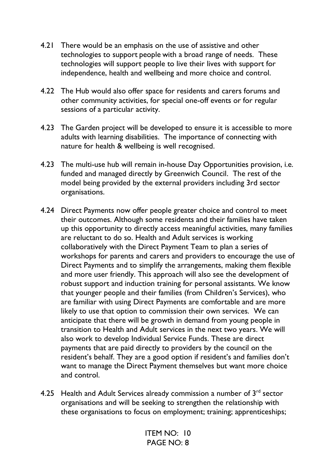- 4.21 There would be an emphasis on the use of assistive and other technologies to support people with a broad range of needs. These technologies will support people to live their lives with support for independence, health and wellbeing and more choice and control.
- 4.22 The Hub would also offer space for residents and carers forums and other community activities, for special one-off events or for regular sessions of a particular activity.
- 4.23 The Garden project will be developed to ensure it is accessible to more adults with learning disabilities. The importance of connecting with nature for health & wellbeing is well recognised.
- 4.23 The multi-use hub will remain in-house Day Opportunities provision, i.e. funded and managed directly by Greenwich Council. The rest of the model being provided by the external providers including 3rd sector organisations.
- 4.24 Direct Payments now offer people greater choice and control to meet their outcomes. Although some residents and their families have taken up this opportunity to directly access meaningful activities, many families are reluctant to do so. Health and Adult services is working collaboratively with the Direct Payment Team to plan a series of workshops for parents and carers and providers to encourage the use of Direct Payments and to simplify the arrangements, making them flexible and more user friendly. This approach will also see the development of robust support and induction training for personal assistants. We know that younger people and their families (from Children's Services), who are familiar with using Direct Payments are comfortable and are more likely to use that option to commission their own services. We can anticipate that there will be growth in demand from young people in transition to Health and Adult services in the next two years. We will also work to develop Individual Service Funds. These are direct payments that are paid directly to providers by the council on the resident's behalf. They are a good option if resident's and families don't want to manage the Direct Payment themselves but want more choice and control.
- 4.25 Health and Adult Services already commission a number of  $3<sup>rd</sup>$  sector organisations and will be seeking to strengthen the relationship with these organisations to focus on employment; training; apprenticeships;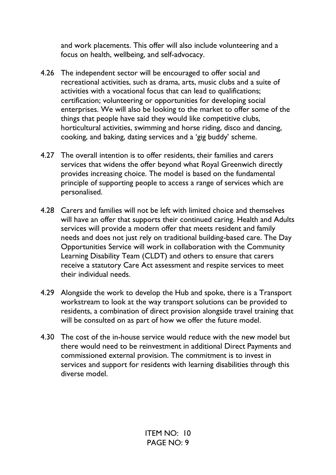and work placements. This offer will also include volunteering and a focus on health, wellbeing, and self-advocacy.

- 4.26 The independent sector will be encouraged to offer social and recreational activities, such as drama, arts, music clubs and a suite of activities with a vocational focus that can lead to qualifications; certification; volunteering or opportunities for developing social enterprises. We will also be looking to the market to offer some of the things that people have said they would like competitive clubs, horticultural activities, swimming and horse riding, disco and dancing, cooking, and baking, dating services and a 'gig buddy' scheme.
- 4.27 The overall intention is to offer residents, their families and carers services that widens the offer beyond what Royal Greenwich directly provides increasing choice. The model is based on the fundamental principle of supporting people to access a range of services which are personalised.
- 4.28 Carers and families will not be left with limited choice and themselves will have an offer that supports their continued caring. Health and Adults services will provide a modern offer that meets resident and family needs and does not just rely on traditional building-based care. The Day Opportunities Service will work in collaboration with the Community Learning Disability Team (CLDT) and others to ensure that carers receive a statutory Care Act assessment and respite services to meet their individual needs.
- 4.29 Alongside the work to develop the Hub and spoke, there is a Transport workstream to look at the way transport solutions can be provided to residents, a combination of direct provision alongside travel training that will be consulted on as part of how we offer the future model.
- 4.30 The cost of the in-house service would reduce with the new model but there would need to be reinvestment in additional Direct Payments and commissioned external provision. The commitment is to invest in services and support for residents with learning disabilities through this diverse model.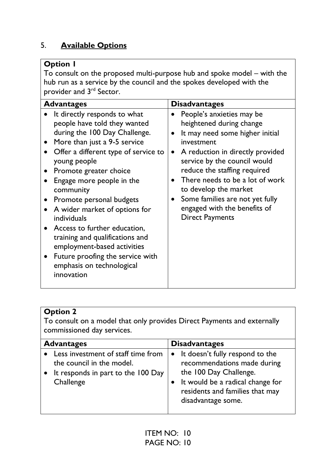# 5. **Available Options**

# **Option 1**

To consult on the proposed multi-purpose hub and spoke model – with the hub run as a service by the council and the spokes developed with the provider and 3<sup>rd</sup> Sector.

| <b>Advantages</b>                                      |                                                                                                                                                                                                                                                                                                                                                                                                                                                              | <b>Disadvantages</b>                                                                                                                                                                                                                                                                                                                                                |
|--------------------------------------------------------|--------------------------------------------------------------------------------------------------------------------------------------------------------------------------------------------------------------------------------------------------------------------------------------------------------------------------------------------------------------------------------------------------------------------------------------------------------------|---------------------------------------------------------------------------------------------------------------------------------------------------------------------------------------------------------------------------------------------------------------------------------------------------------------------------------------------------------------------|
| young people<br>community<br>individuals<br>innovation | It directly responds to what<br>people have told they wanted<br>during the 100 Day Challenge.<br>More than just a 9-5 service<br>Offer a different type of service to<br>Promote greater choice<br>Engage more people in the<br>Promote personal budgets<br>A wider market of options for<br>Access to further education,<br>training and qualifications and<br>employment-based activities<br>Future proofing the service with<br>emphasis on technological | People's anxieties may be<br>heightened during change<br>It may need some higher initial<br>investment<br>A reduction in directly provided<br>service by the council would<br>reduce the staffing required<br>There needs to be a lot of work<br>to develop the market<br>Some families are not yet fully<br>engaged with the benefits of<br><b>Direct Payments</b> |

#### **Option 2**

To consult on a model that only provides Direct Payments and externally commissioned day services.

| <b>Advantages</b>                                                                                                  | <b>Disadvantages</b>                                                                                                                                                                    |
|--------------------------------------------------------------------------------------------------------------------|-----------------------------------------------------------------------------------------------------------------------------------------------------------------------------------------|
| Less investment of staff time from<br>the council in the model.<br>It responds in part to the 100 Day<br>Challenge | • It doesn't fully respond to the<br>recommendations made during<br>the 100 Day Challenge.<br>It would be a radical change for<br>residents and families that may<br>disadvantage some. |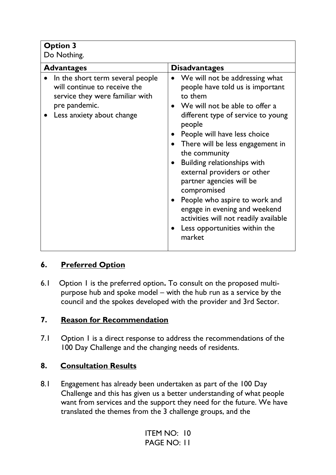# **Option 3**

| Do Nothing.                                                                                                                                       |                                                                                                                                                                                                                                                                                                                                                                                                                                                                                                                     |
|---------------------------------------------------------------------------------------------------------------------------------------------------|---------------------------------------------------------------------------------------------------------------------------------------------------------------------------------------------------------------------------------------------------------------------------------------------------------------------------------------------------------------------------------------------------------------------------------------------------------------------------------------------------------------------|
| <b>Advantages</b>                                                                                                                                 | <b>Disadvantages</b>                                                                                                                                                                                                                                                                                                                                                                                                                                                                                                |
| In the short term several people<br>will continue to receive the<br>service they were familiar with<br>pre pandemic.<br>Less anxiety about change | We will not be addressing what<br>people have told us is important<br>to them<br>We will not be able to offer a<br>different type of service to young<br>people<br>People will have less choice<br>There will be less engagement in<br>the community<br>Building relationships with<br>external providers or other<br>partner agencies will be<br>compromised<br>People who aspire to work and<br>engage in evening and weekend<br>activities will not readily available<br>Less opportunities within the<br>market |

# **6. Preferred Option**

6.1 Option 1 is the preferred option**.** To consult on the proposed multipurpose hub and spoke model – with the hub run as a service by the council and the spokes developed with the provider and 3rd Sector.

# **7. Reason for Recommendation**

7.1Option 1 is a direct response to address the recommendations of the 100 Day Challenge and the changing needs of residents.

# **8. Consultation Results**

8.1 Engagement has already been undertaken as part of the 100 Day Challenge and this has given us a better understanding of what people want from services and the support they need for the future. We have translated the themes from the 3 challenge groups, and the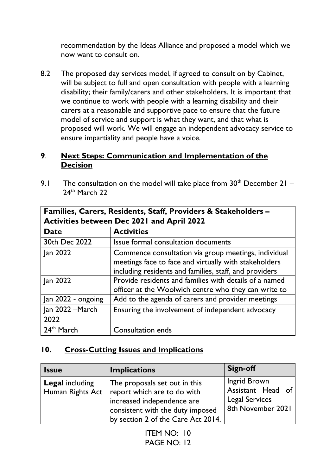recommendation by the Ideas Alliance and proposed a model which we now want to consult on.

8.2 The proposed day services model, if agreed to consult on by Cabinet, will be subject to full and open consultation with people with a learning disability; their family/carers and other stakeholders. It is important that we continue to work with people with a learning disability and their carers at a reasonable and supportive pace to ensure that the future model of service and support is what they want, and that what is proposed will work. We will engage an independent advocacy service to ensure impartiality and people have a voice.

#### **9**. **Next Steps: Communication and Implementation of the Decision**

9.1 The consultation on the model will take place from  $30<sup>th</sup>$  December 21 – 24<sup>th</sup> March 22

| Families, Carers, Residents, Staff, Providers & Stakeholders - |                                                                                                                                                                         |  |  |  |
|----------------------------------------------------------------|-------------------------------------------------------------------------------------------------------------------------------------------------------------------------|--|--|--|
| <b>Activities between Dec 2021 and April 2022</b>              |                                                                                                                                                                         |  |  |  |
| <b>Date</b>                                                    | <b>Activities</b>                                                                                                                                                       |  |  |  |
| 30th Dec 2022                                                  | Issue formal consultation documents                                                                                                                                     |  |  |  |
| Jan 2022                                                       | Commence consultation via group meetings, individual<br>meetings face to face and virtually with stakeholders<br>including residents and families, staff, and providers |  |  |  |
| Jan 2022                                                       | Provide residents and families with details of a named<br>officer at the Woolwich centre who they can write to                                                          |  |  |  |
| Jan 2022 - ongoing                                             | Add to the agenda of carers and provider meetings                                                                                                                       |  |  |  |
| Jan 2022 - March<br>2022                                       | Ensuring the involvement of independent advocacy                                                                                                                        |  |  |  |
| 24 <sup>th</sup> March                                         | <b>Consultation ends</b>                                                                                                                                                |  |  |  |

**10. Cross-Cutting Issues and Implications** 

#### **Issue Implications | Sign-off Legal** including Human Rights Act The proposals set out in this report which are to do with increased independence are consistent with the duty imposed by section 2 of the Care Act 2014. Ingrid Brown Assistant Head of Legal Services 8th November 2021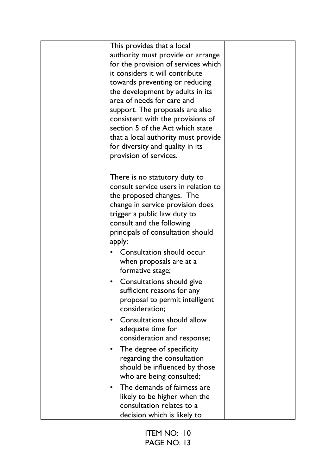| This provides that a local                     |  |
|------------------------------------------------|--|
| authority must provide or arrange              |  |
| for the provision of services which            |  |
| it considers it will contribute                |  |
| towards preventing or reducing                 |  |
| the development by adults in its               |  |
| area of needs for care and                     |  |
| support. The proposals are also                |  |
| consistent with the provisions of              |  |
| section 5 of the Act which state               |  |
| that a local authority must provide            |  |
| for diversity and quality in its               |  |
| provision of services.                         |  |
|                                                |  |
|                                                |  |
| There is no statutory duty to                  |  |
| consult service users in relation to           |  |
| the proposed changes. The                      |  |
| change in service provision does               |  |
| trigger a public law duty to                   |  |
| consult and the following                      |  |
| principals of consultation should              |  |
| apply:                                         |  |
| Consultation should occur                      |  |
| when proposals are at a                        |  |
| formative stage;                               |  |
| Consultations should give<br>$\bullet$         |  |
| sufficient reasons for any                     |  |
| proposal to permit intelligent                 |  |
| consideration;                                 |  |
| <b>Consultations should allow</b><br>$\bullet$ |  |
| adequate time for                              |  |
| consideration and response;                    |  |
| The degree of specificity<br>٠                 |  |
| regarding the consultation                     |  |
| should be influenced by those                  |  |
| who are being consulted;                       |  |
|                                                |  |
| The demands of fairness are<br>$\bullet$       |  |
| likely to be higher when the                   |  |
| consultation relates to a                      |  |
| decision which is likely to                    |  |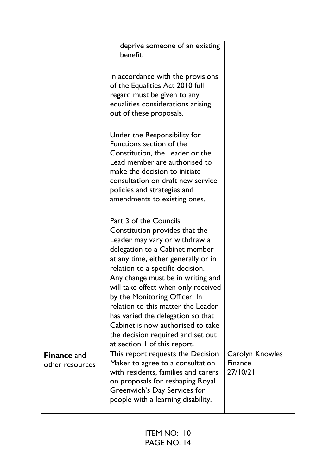|                                       | deprive someone of an existing<br>benefit.                                                                                                                                                                                                                                                                                                                                                                                                                                                               |                                               |
|---------------------------------------|----------------------------------------------------------------------------------------------------------------------------------------------------------------------------------------------------------------------------------------------------------------------------------------------------------------------------------------------------------------------------------------------------------------------------------------------------------------------------------------------------------|-----------------------------------------------|
|                                       | In accordance with the provisions<br>of the Equalities Act 2010 full<br>regard must be given to any<br>equalities considerations arising<br>out of these proposals.                                                                                                                                                                                                                                                                                                                                      |                                               |
|                                       | Under the Responsibility for<br>Functions section of the<br>Constitution, the Leader or the<br>Lead member are authorised to<br>make the decision to initiate<br>consultation on draft new service<br>policies and strategies and<br>amendments to existing ones.                                                                                                                                                                                                                                        |                                               |
|                                       | Part 3 of the Councils<br>Constitution provides that the<br>Leader may vary or withdraw a<br>delegation to a Cabinet member<br>at any time, either generally or in<br>relation to a specific decision.<br>Any change must be in writing and<br>will take effect when only received<br>by the Monitoring Officer. In<br>relation to this matter the Leader<br>has varied the delegation so that<br>Cabinet is now authorised to take<br>the decision required and set out<br>at section 1 of this report. |                                               |
| <b>Finance and</b><br>other resources | This report requests the Decision<br>Maker to agree to a consultation<br>with residents, families and carers<br>on proposals for reshaping Royal<br>Greenwich's Day Services for<br>people with a learning disability.                                                                                                                                                                                                                                                                                   | Carolyn Knowles<br><b>Finance</b><br>27/10/21 |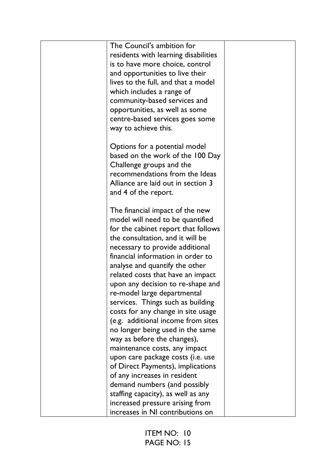| The Council's ambition for                                 |  |
|------------------------------------------------------------|--|
| residents with learning disabilities                       |  |
| is to have more choice, control                            |  |
| and opportunities to live their                            |  |
| lives to the full, and that a model                        |  |
| which includes a range of                                  |  |
| community-based services and                               |  |
| opportunities, as well as some                             |  |
|                                                            |  |
| centre-based services goes some                            |  |
| way to achieve this.                                       |  |
| Options for a potential model                              |  |
| based on the work of the 100 Day                           |  |
|                                                            |  |
| Challenge groups and the<br>recommendations from the Ideas |  |
|                                                            |  |
| Alliance are laid out in section 3                         |  |
| and 4 of the report.                                       |  |
| The financial impact of the new                            |  |
| model will need to be quantified                           |  |
| for the cabinet report that follows                        |  |
| the consultation, and it will be                           |  |
| necessary to provide additional                            |  |
| financial information in order to                          |  |
|                                                            |  |
| analyse and quantify the other                             |  |
| related costs that have an impact                          |  |
| upon any decision to re-shape and                          |  |
| re-model large departmental                                |  |
| services. Things such as building                          |  |
| costs for any change in site usage                         |  |
| (e.g. additional income from sites                         |  |
| no longer being used in the same                           |  |
| way as before the changes),                                |  |
| maintenance costs, any impact                              |  |
| upon care package costs (i.e. use                          |  |
| of Direct Payments), implications                          |  |
| of any increases in resident                               |  |
| demand numbers (and possibly                               |  |
| staffing capacity), as well as any                         |  |
| increased pressure arising from                            |  |
| increases in NI contributions on                           |  |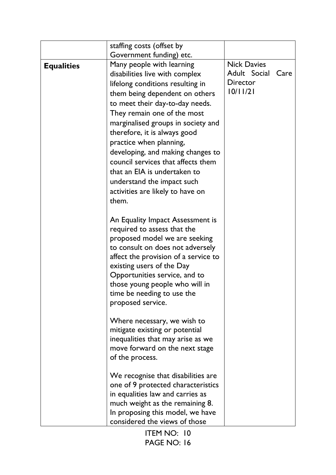|                   | staffing costs (offset by<br>Government funding) etc.                                                                                                                                                                                                                                                                                                                                                                                                                                      |                                                            |      |
|-------------------|--------------------------------------------------------------------------------------------------------------------------------------------------------------------------------------------------------------------------------------------------------------------------------------------------------------------------------------------------------------------------------------------------------------------------------------------------------------------------------------------|------------------------------------------------------------|------|
| <b>Equalities</b> | Many people with learning<br>disabilities live with complex<br>lifelong conditions resulting in<br>them being dependent on others<br>to meet their day-to-day needs.<br>They remain one of the most<br>marginalised groups in society and<br>therefore, it is always good<br>practice when planning,<br>developing, and making changes to<br>council services that affects them<br>that an EIA is undertaken to<br>understand the impact such<br>activities are likely to have on<br>them. | <b>Nick Davies</b><br>Adult Social<br>Director<br>10/11/21 | Care |
|                   | An Equality Impact Assessment is<br>required to assess that the<br>proposed model we are seeking<br>to consult on does not adversely<br>affect the provision of a service to<br>existing users of the Day<br>Opportunities service, and to<br>those young people who will in<br>time be needing to use the<br>proposed service.                                                                                                                                                            |                                                            |      |
|                   | Where necessary, we wish to<br>mitigate existing or potential<br>inequalities that may arise as we<br>move forward on the next stage<br>of the process.                                                                                                                                                                                                                                                                                                                                    |                                                            |      |
|                   | We recognise that disabilities are<br>one of 9 protected characteristics<br>in equalities law and carries as<br>much weight as the remaining 8.<br>In proposing this model, we have<br>considered the views of those                                                                                                                                                                                                                                                                       |                                                            |      |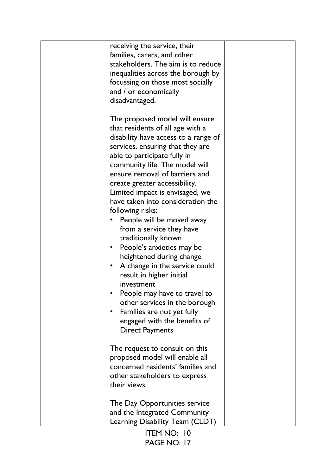| receiving the service, their<br>families, carers, and other<br>stakeholders. The aim is to reduce<br>inequalities across the borough by<br>focussing on those most socially<br>and / or economically<br>disadvantaged.                                                                                                                                                                                                                                                                                                                                                                                                                                                                                                                                                    |  |
|---------------------------------------------------------------------------------------------------------------------------------------------------------------------------------------------------------------------------------------------------------------------------------------------------------------------------------------------------------------------------------------------------------------------------------------------------------------------------------------------------------------------------------------------------------------------------------------------------------------------------------------------------------------------------------------------------------------------------------------------------------------------------|--|
| The proposed model will ensure<br>that residents of all age with a<br>disability have access to a range of<br>services, ensuring that they are<br>able to participate fully in<br>community life. The model will<br>ensure removal of barriers and<br>create greater accessibility.<br>Limited impact is envisaged, we<br>have taken into consideration the<br>following risks:<br>People will be moved away<br>from a service they have<br>traditionally known<br>People's anxieties may be<br>$\bullet$<br>heightened during change<br>A change in the service could<br>$\bullet$<br>result in higher initial<br>investment<br>People may have to travel to<br>other services in the borough<br>Families are not yet fully<br>$\bullet$<br>engaged with the benefits of |  |
| <b>Direct Payments</b><br>The request to consult on this<br>proposed model will enable all<br>concerned residents' families and<br>other stakeholders to express<br>their views.<br>The Day Opportunities service<br>and the Integrated Community<br>Learning Disability Team (CLDT)                                                                                                                                                                                                                                                                                                                                                                                                                                                                                      |  |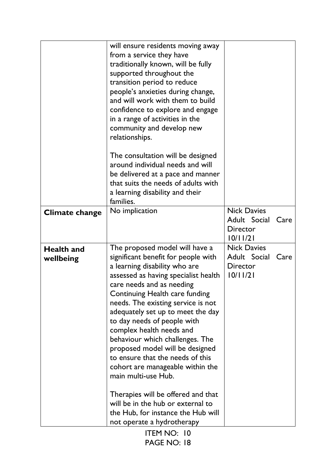|                                | will ensure residents moving away<br>from a service they have<br>traditionally known, will be fully<br>supported throughout the<br>transition period to reduce<br>people's anxieties during change,<br>and will work with them to build<br>confidence to explore and engage<br>in a range of activities in the<br>community and develop new<br>relationships.                                                                                                                                                                                                                                                                             |                                                            |      |
|--------------------------------|-------------------------------------------------------------------------------------------------------------------------------------------------------------------------------------------------------------------------------------------------------------------------------------------------------------------------------------------------------------------------------------------------------------------------------------------------------------------------------------------------------------------------------------------------------------------------------------------------------------------------------------------|------------------------------------------------------------|------|
|                                | The consultation will be designed<br>around individual needs and will<br>be delivered at a pace and manner<br>that suits the needs of adults with<br>a learning disability and their<br>families.                                                                                                                                                                                                                                                                                                                                                                                                                                         |                                                            |      |
| <b>Climate change</b>          | No implication                                                                                                                                                                                                                                                                                                                                                                                                                                                                                                                                                                                                                            | <b>Nick Davies</b><br>Adult Social<br>Director<br>10/11/21 | Care |
| <b>Health and</b><br>wellbeing | The proposed model will have a<br>significant benefit for people with<br>a learning disability who are<br>assessed as having specialist health<br>care needs and as needing<br>Continuing Health care funding<br>needs. The existing service is not<br>adequately set up to meet the day<br>to day needs of people with<br>complex health needs and<br>behaviour which challenges. The<br>proposed model will be designed<br>to ensure that the needs of this<br>cohort are manageable within the<br>main multi-use Hub.<br>Therapies will be offered and that<br>will be in the hub or external to<br>the Hub, for instance the Hub will | <b>Nick Davies</b><br>Adult Social<br>Director<br>10/11/21 | Care |
|                                | not operate a hydrotherapy                                                                                                                                                                                                                                                                                                                                                                                                                                                                                                                                                                                                                |                                                            |      |